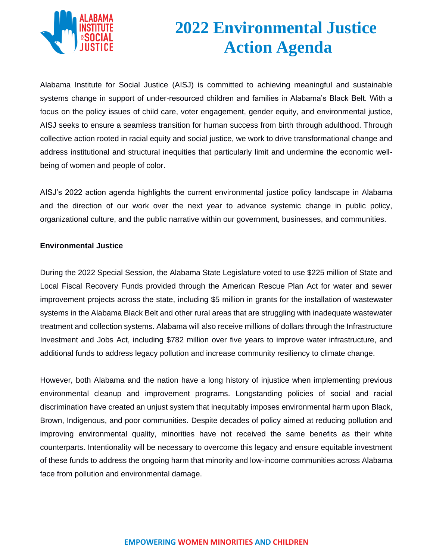

## **2022 Environmental Justice Action Agenda**

Alabama Institute for Social Justice (AISJ) is committed to achieving meaningful and sustainable systems change in support of under-resourced children and families in Alabama's Black Belt. With a focus on the policy issues of child care, voter engagement, gender equity, and environmental justice, AISJ seeks to ensure a seamless transition for human success from birth through adulthood. Through collective action rooted in racial equity and social justice, we work to drive transformational change and address institutional and structural inequities that particularly limit and undermine the economic wellbeing of women and people of color.

AISJ's 2022 action agenda highlights the current environmental justice policy landscape in Alabama and the direction of our work over the next year to advance systemic change in public policy, organizational culture, and the public narrative within our government, businesses, and communities.

## **Environmental Justice**

During the 2022 Special Session, the Alabama State Legislature voted to use \$225 million of State and Local Fiscal Recovery Funds provided through the American Rescue Plan Act for water and sewer improvement projects across the state, including \$5 million in grants for the installation of wastewater systems in the Alabama Black Belt and other rural areas that are struggling with inadequate wastewater treatment and collection systems. Alabama will also receive millions of dollars through the Infrastructure Investment and Jobs Act, including \$782 million over five years to improve water infrastructure, and additional funds to address legacy pollution and increase community resiliency to climate change.

However, both Alabama and the nation have a long history of injustice when implementing previous environmental cleanup and improvement programs. Longstanding policies of social and racial discrimination have created an unjust system that inequitably imposes environmental harm upon Black, Brown, Indigenous, and poor communities. Despite decades of policy aimed at reducing pollution and improving environmental quality, minorities have not received the same benefits as their white counterparts. Intentionality will be necessary to overcome this legacy and ensure equitable investment of these funds to address the ongoing harm that minority and low-income communities across Alabama face from pollution and environmental damage.